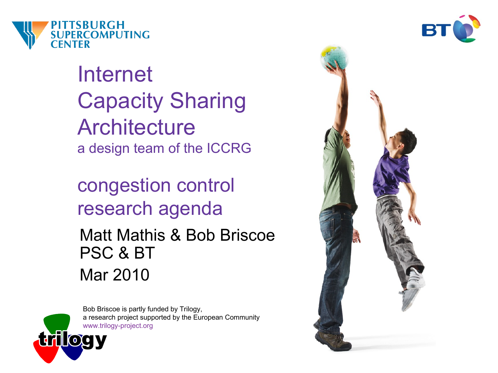

Internet Capacity Sharing **Architecture** a design team of the ICCRG

congestion control research agenda

Matt Mathis & Bob Briscoe PSC & BT Mar 2010



Bob Briscoe is partly funded by Trilogy, a research project supported by the European Community [www.trilogy-project.org](http://www.trilogy-project.org/)



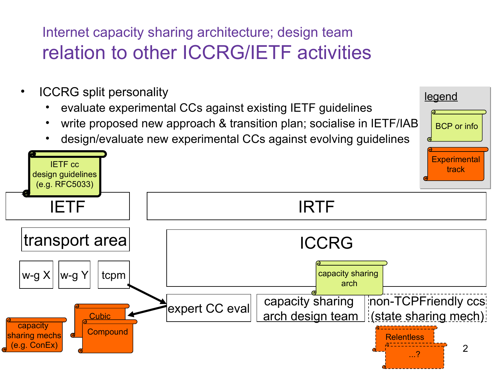#### Internet capacity sharing architecture; design team relation to other ICCRG/IETF activities

- ICCRG split personality
	- evaluate experimental CCs against existing IETF guidelines
	- write proposed new approach & transition plan; socialise in IETF/IAB

legend

BCP or info

• design/evaluate new experimental CCs against evolving guidelines

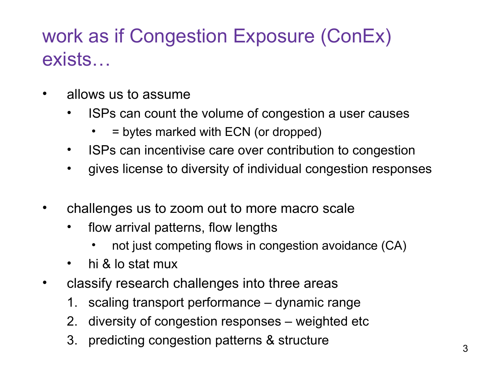# work as if Congestion Exposure (ConEx) exists…

- allows us to assume
	- ISPs can count the volume of congestion a user causes
		- $\bullet$  = bytes marked with ECN (or dropped)
	- ISPs can incentivise care over contribution to congestion
	- gives license to diversity of individual congestion responses
- challenges us to zoom out to more macro scale
	- flow arrival patterns, flow lengths
		- not just competing flows in congestion avoidance (CA)
	- hi & lo stat mux
- classify research challenges into three areas
	- 1. scaling transport performance dynamic range
	- 2. diversity of congestion responses weighted etc
	- 3. predicting congestion patterns & structure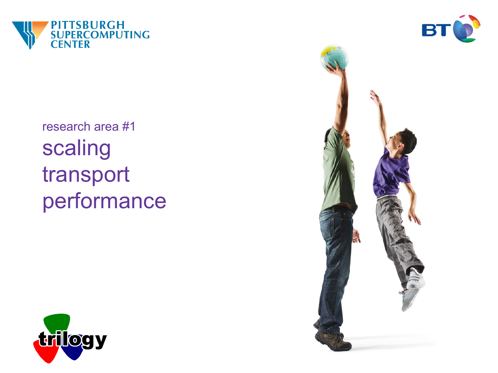



research area #1 scaling transport performance



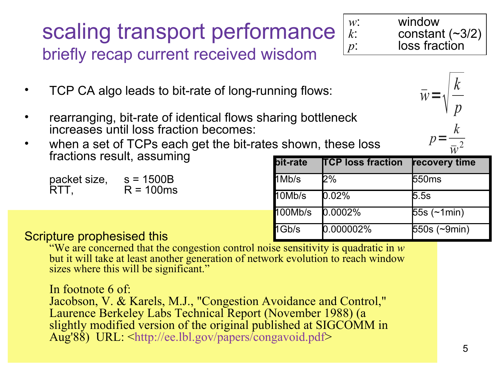## scaling transport performance briefly recap current received wisdom

 $\bar{w} = \sqrt{\frac{v}{p}}$ 

*p*=

*k*

*p*

*k*

- TCP CA algo leads to bit-rate of long-running flows:
- rearranging, bit-rate of identical flows sharing bottleneck increases until loss fraction becomes:
- when a set of TCPs each get the bit-rates shown, these loss fractions result, assuming

packet size,  $s = 1500B$  $RTT$ ,  $R = 100$ ms

| s shown, these loss:<br>$\overline{w}^2$ |          |                          |                      |
|------------------------------------------|----------|--------------------------|----------------------|
|                                          | bit-rate | <b>TCP loss fraction</b> | recovery time        |
|                                          | $1$ Mb/s | 2%                       | 550ms                |
|                                          | 10Mb/s   | 0.02%                    | 5.5s                 |
|                                          | 100Mb/s  | 0.0002%                  | $55s$ ( $\neg$ 1min) |
|                                          | 1Gb/s    | 0.000002%                | 550s (~9min)         |

#### Scripture prophesised this

"We are concerned that the congestion control noise sensitivity is quadratic in *w*  but it will take at least another generation of network evolution to reach window sizes where this will be significant."

In footnote 6 of: Jacobson, V. & Karels, M.J., "Congestion Avoidance and Control," Laurence Berkeley Labs Technical Report (November 1988) (a slightly modified version of the original published at SIGCOMM in Aug'88) URL: [<http://ee.lbl.gov/papers/congavoid.pdf>](http://ee.lbl.gov/papers/congavoid.pdf)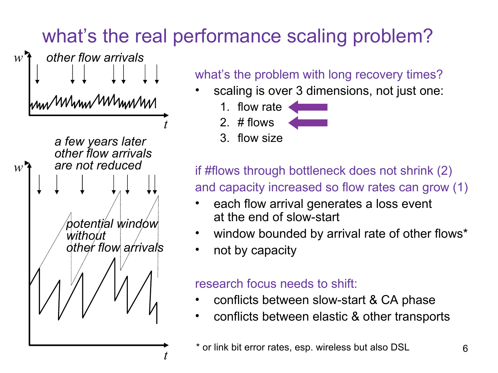# what's the real performance scaling problem?

![](_page_5_Picture_1.jpeg)

what's the problem with long recovery times?

- scaling is over 3 dimensions, not just one:
	- 1. flow rate
	- 2. # flows
	- 3. flow size

if #flows through bottleneck does not shrink (2) and capacity increased so flow rates can grow (1)

- each flow arrival generates a loss event at the end of slow-start
- window bounded by arrival rate of other flows\*
- not by capacity

#### research focus needs to shift:

- conflicts between slow-start & CA phase
- conflicts between elastic & other transports

<sup>\*</sup> or link bit error rates, esp. wireless but also DSL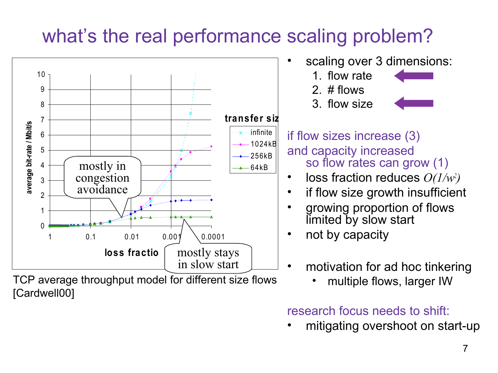# what's the real performance scaling problem?

![](_page_6_Figure_1.jpeg)

TCP average throughput model for different size flows [Cardwell00]

• multiple flows, larger IW

research focus needs to shift:

• mitigating overshoot on start-up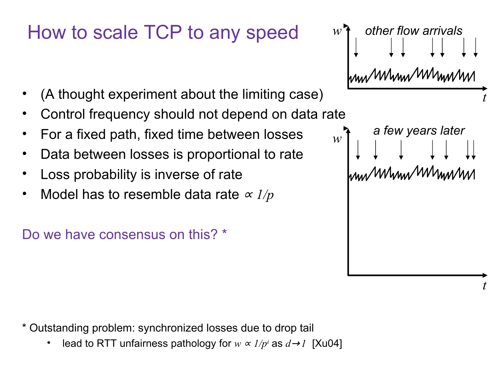## How to scale TCP to any speed

- (A thought experiment about the limiting case)
- Control frequency should not depend on data rate
- For a fixed path, fixed time between losses
- Data between losses is proportional to rate
- Loss probability is inverse of rate
- Model has to resemble data rate  $\alpha$  1/p

Do we have consensus on this? \*

*w other flow arrivals*mu wum wumn *t*

*a few years later*

hnu Mhnu Mhnin

*t*

*w*

\* Outstanding problem: synchronized losses due to drop tail

• lead to RTT unfairness pathology for  $w \propto 1/p<sup>d</sup>$  as  $d\rightarrow1$  [Xu04]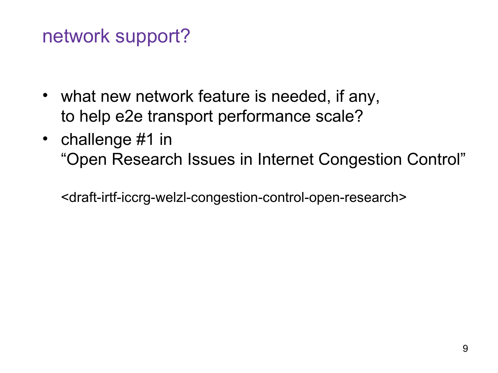# network support?

- what new network feature is needed, if any, to help e2e transport performance scale?
- challenge #1 in "Open Research Issues in Internet Congestion Control"

<draft-irtf-iccrg-welzl-congestion-control-open-research>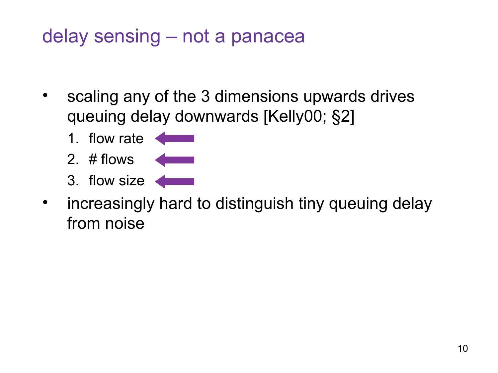# delay sensing – not a panacea

- scaling any of the 3 dimensions upwards drives queuing delay downwards [Kelly00; §2]
	- 1. flow rate
	- 2. # flows
	- 3. flow size
- increasingly hard to distinguish tiny queuing delay from noise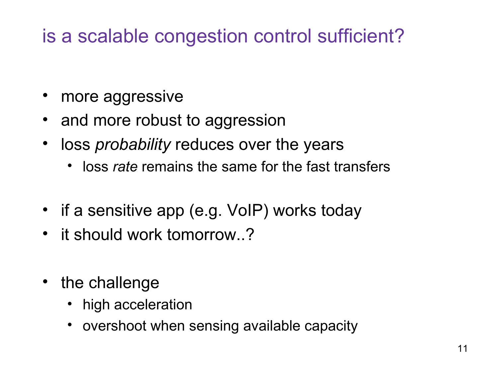# is a scalable congestion control sufficient?

- more aggressive
- and more robust to aggression
- loss *probability* reduces over the years
	- loss *rate* remains the same for the fast transfers
- if a sensitive app (e.g. VoIP) works today
- it should work tomorrow..?
- the challenge
	- high acceleration
	- overshoot when sensing available capacity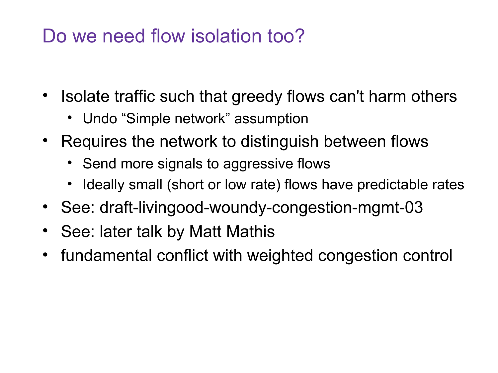## Do we need flow isolation too?

- Isolate traffic such that greedy flows can't harm others
	- Undo "Simple network" assumption
- Requires the network to distinguish between flows
	- Send more signals to aggressive flows
	- Ideally small (short or low rate) flows have predictable rates
- See: draft-livingood-woundy-congestion-mgmt-03
- See: later talk by Matt Mathis
- fundamental conflict with weighted congestion control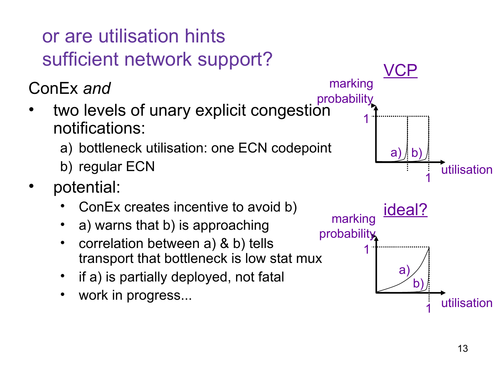# or are utilisation hints sufficient network support?

ConEx *and* 

- two levels of unary explicit congestion notifications:
	- a) bottleneck utilisation: one ECN codepoint
	- b) regular ECN
- potential:
	- ConEx creates incentive to avoid b)
	- a) warns that b) is approaching
	- correlation between a) & b) tells transport that bottleneck is low stat mux
	- if a) is partially deployed, not fatal
	- work in progress...

![](_page_12_Figure_11.jpeg)

![](_page_12_Figure_12.jpeg)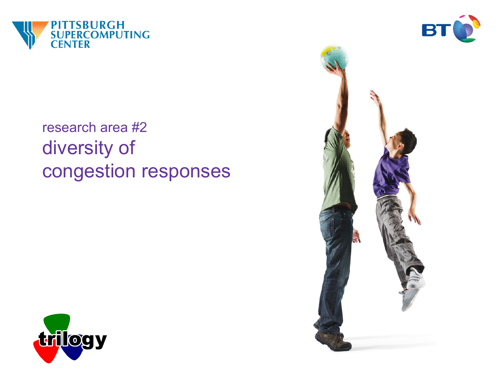![](_page_13_Picture_0.jpeg)

![](_page_13_Picture_1.jpeg)

## research area #2 diversity of congestion responses

![](_page_13_Picture_3.jpeg)

![](_page_13_Picture_4.jpeg)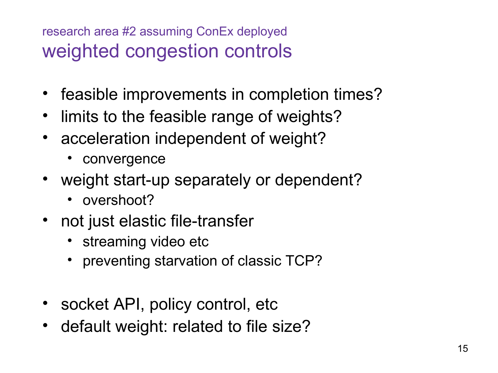#### research area #2 assuming ConEx deployed weighted congestion controls

- feasible improvements in completion times?
- limits to the feasible range of weights?
- acceleration independent of weight?
	- convergence
- weight start-up separately or dependent?
	- overshoot?
- not just elastic file-transfer
	- streaming video etc
	- preventing starvation of classic TCP?
- socket API, policy control, etc
- default weight: related to file size?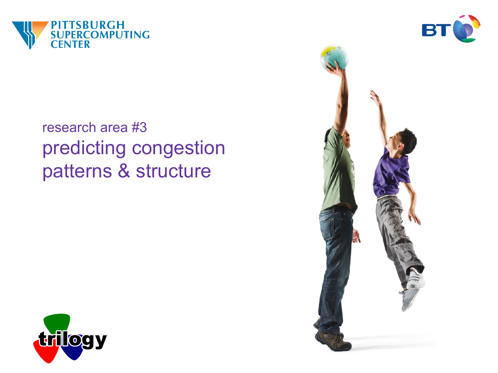![](_page_15_Picture_0.jpeg)

![](_page_15_Picture_1.jpeg)

## research area #3 predicting congestion patterns & structure

![](_page_15_Picture_3.jpeg)

![](_page_15_Picture_4.jpeg)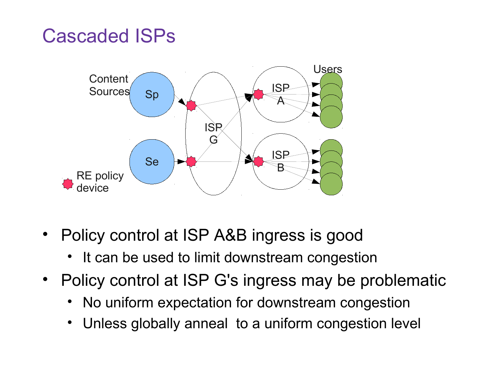## Cascaded ISPs

![](_page_16_Figure_1.jpeg)

- Policy control at ISP A&B ingress is good
	- It can be used to limit downstream congestion
- Policy control at ISP G's ingress may be problematic
	- No uniform expectation for downstream congestion
	- Unless globally anneal to a uniform congestion level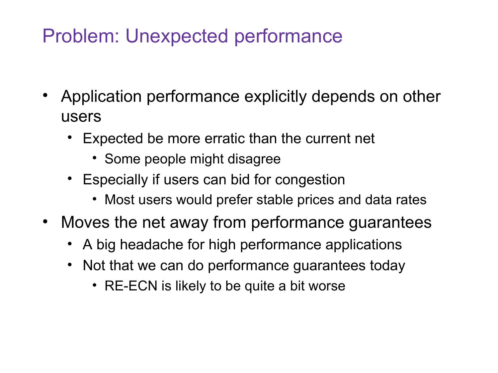# Problem: Unexpected performance

- Application performance explicitly depends on other users
	- Expected be more erratic than the current net
		- Some people might disagree
	- Especially if users can bid for congestion
		- Most users would prefer stable prices and data rates
- Moves the net away from performance guarantees
	- A big headache for high performance applications
	- Not that we can do performance guarantees today
		- RE-ECN is likely to be quite a bit worse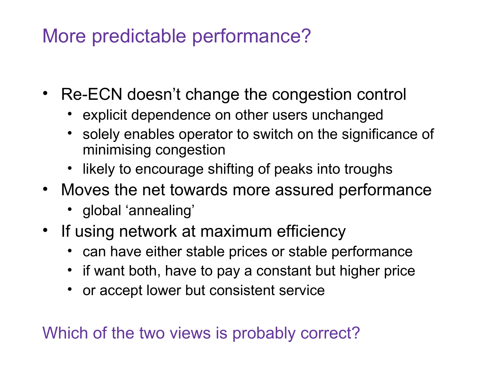## More predictable performance?

- Re-ECN doesn't change the congestion control
	- explicit dependence on other users unchanged
	- solely enables operator to switch on the significance of minimising congestion
	- likely to encourage shifting of peaks into troughs
- Moves the net towards more assured performance
	- global 'annealing'
- If using network at maximum efficiency
	- can have either stable prices or stable performance
	- if want both, have to pay a constant but higher price
	- or accept lower but consistent service

Which of the two views is probably correct?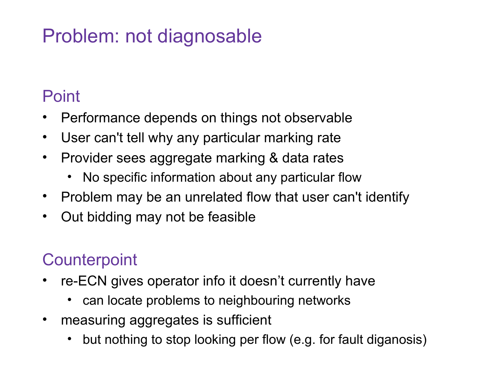# Problem: not diagnosable

#### Point

- Performance depends on things not observable
- User can't tell why any particular marking rate
- Provider sees aggregate marking & data rates
	- No specific information about any particular flow
- Problem may be an unrelated flow that user can't identify
- Out bidding may not be feasible

### **Counterpoint**

- re-ECN gives operator info it doesn't currently have
	- can locate problems to neighbouring networks
- measuring aggregates is sufficient
	- but nothing to stop looking per flow (e.g. for fault diganosis)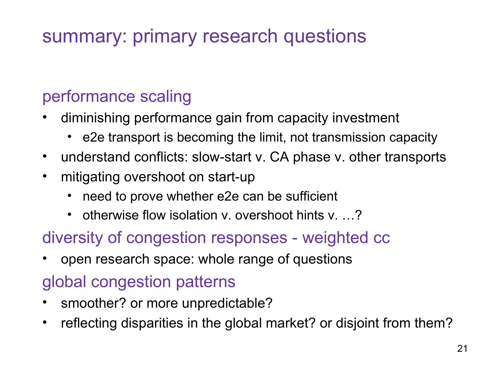# summary: primary research questions

#### performance scaling

- diminishing performance gain from capacity investment
	- e2e transport is becoming the limit, not transmission capacity
- understand conflicts: slow-start v. CA phase v. other transports
- mitigating overshoot on start-up
	- need to prove whether e2e can be sufficient
	- otherwise flow isolation v. overshoot hints v....?

#### diversity of congestion responses - weighted cc

• open research space: whole range of questions

#### global congestion patterns

- smoother? or more unpredictable?
- reflecting disparities in the global market? or disjoint from them?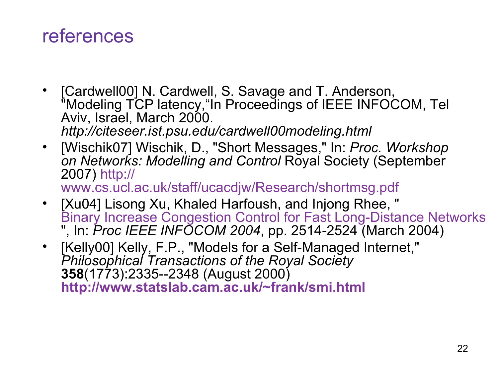## references

- [Cardwell00] N. Cardwell, S. Savage and T. Anderson, "Modeling TCP latency,"In Proceedings of IEEE INFOCOM, Tel Aviv, Israel, March 2000. *http://citeseer.ist.psu.edu/cardwell00modeling.html*
- [Wischik07] Wischik, D., "Short Messages," In: *Proc. Workshop on Networks: Modelling and Control* Royal Society (September 2007) [http://](http://www.cs.ucl.ac.uk/staff/ucacdjw/Research/shortmsg.pdf) [www.cs.ucl.ac.uk/staff/ucacdjw/Research/shortmsg.pdf](http://www.cs.ucl.ac.uk/staff/ucacdjw/Research/shortmsg.pdf)
- [Xu04] Lisong Xu, Khaled Harfoush, and Injong Rhee, " [Binary Increase Congestion Control for Fast Long-Distance Networks](http://cse.unl.edu/%7Exu/paper/xu_INFOCOM_2004.pdf) ", In: *Proc IEEE INFOCOM 2004*, pp. 2514-2524 (March 2004)
- [Kelly00] Kelly, F.P., "Models for a Self-Managed Internet," *Philosophical Transactions of the Royal Society* **358**(1773):2335--2348 (August 2000) **<http://www.statslab.cam.ac.uk/~frank/smi.html>**